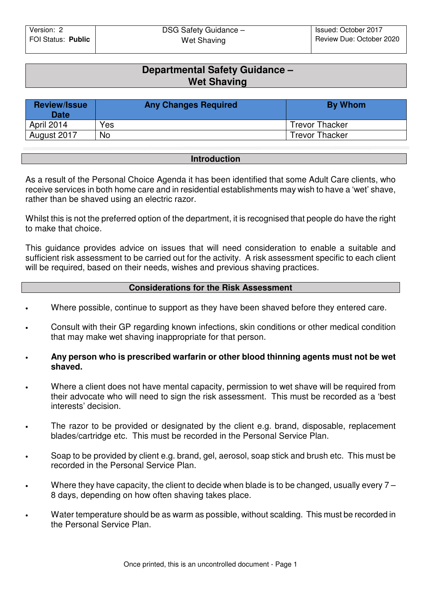# **Departmental Safety Guidance – Wet Shaving**

| <b>Review/Issue</b><br><b>Date</b> | <b>Any Changes Required</b> | By Whom               |
|------------------------------------|-----------------------------|-----------------------|
| April 2014                         | Yes                         | <b>Trevor Thacker</b> |
| August 2017                        | <b>No</b>                   | <b>Trevor Thacker</b> |

#### **Introduction**

As a result of the Personal Choice Agenda it has been identified that some Adult Care clients, who receive services in both home care and in residential establishments may wish to have a 'wet' shave, rather than be shaved using an electric razor.

Whilst this is not the preferred option of the department, it is recognised that people do have the right to make that choice.

This guidance provides advice on issues that will need consideration to enable a suitable and sufficient risk assessment to be carried out for the activity. A risk assessment specific to each client will be required, based on their needs, wishes and previous shaving practices.

## **Considerations for the Risk Assessment**

- Where possible, continue to support as they have been shaved before they entered care.
- Consult with their GP regarding known infections, skin conditions or other medical condition that may make wet shaving inappropriate for that person.
- **Any person who is prescribed warfarin or other blood thinning agents must not be wet shaved.**
- Where a client does not have mental capacity, permission to wet shave will be required from their advocate who will need to sign the risk assessment. This must be recorded as a 'best interests' decision.
- The razor to be provided or designated by the client e.g. brand, disposable, replacement blades/cartridge etc. This must be recorded in the Personal Service Plan.
- Soap to be provided by client e.g. brand, gel, aerosol, soap stick and brush etc. This must be recorded in the Personal Service Plan.
- Where they have capacity, the client to decide when blade is to be changed, usually every  $7 -$ 8 days, depending on how often shaving takes place.
- Water temperature should be as warm as possible, without scalding. This must be recorded in the Personal Service Plan.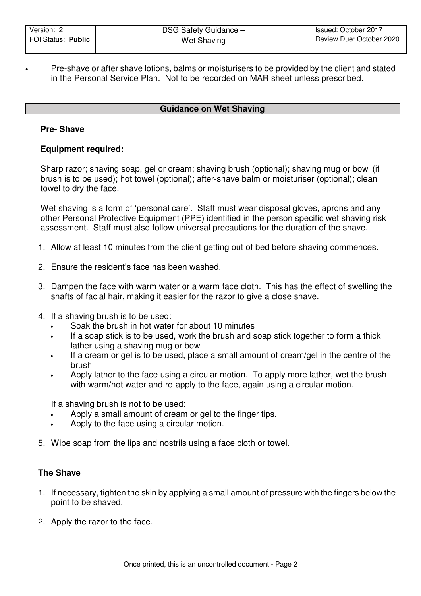• Pre-shave or after shave lotions, balms or moisturisers to be provided by the client and stated in the Personal Service Plan. Not to be recorded on MAR sheet unless prescribed.

## **Guidance on Wet Shaving**

### **Pre- Shave**

### **Equipment required:**

Sharp razor; shaving soap, gel or cream; shaving brush (optional); shaving mug or bowl (if brush is to be used); hot towel (optional); after-shave balm or moisturiser (optional); clean towel to dry the face.

Wet shaving is a form of 'personal care'. Staff must wear disposal gloves, aprons and any other Personal Protective Equipment (PPE) identified in the person specific wet shaving risk assessment. Staff must also follow universal precautions for the duration of the shave.

- 1. Allow at least 10 minutes from the client getting out of bed before shaving commences.
- 2. Ensure the resident's face has been washed.
- 3. Dampen the face with warm water or a warm face cloth. This has the effect of swelling the shafts of facial hair, making it easier for the razor to give a close shave.
- 4. If a shaving brush is to be used:
	- Soak the brush in hot water for about 10 minutes
	- If a soap stick is to be used, work the brush and soap stick together to form a thick lather using a shaving mug or bowl
	- If a cream or gel is to be used, place a small amount of cream/gel in the centre of the brush
	- Apply lather to the face using a circular motion. To apply more lather, wet the brush with warm/hot water and re-apply to the face, again using a circular motion.

If a shaving brush is not to be used:

- Apply a small amount of cream or gel to the finger tips.
- Apply to the face using a circular motion.
- 5. Wipe soap from the lips and nostrils using a face cloth or towel.

### **The Shave**

- 1. If necessary, tighten the skin by applying a small amount of pressure with the fingers below the point to be shaved.
- 2. Apply the razor to the face.